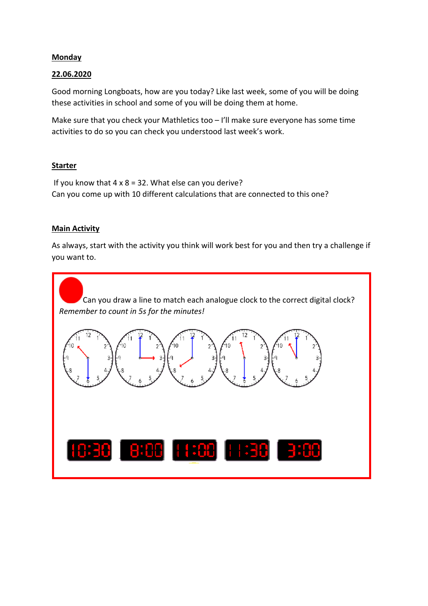## **Monday**

## 22.06.2020

Good morning Longboats, how are you today? Like last week, some of you will be doing these activities in school and some of you will be doing them at home.

Make sure that you check your Mathletics too – I'll make sure everyone has some time activities to do so you can check you understood last week's work.

## **Starter**

If you know that  $4 \times 8 = 32$ . What else can you derive? Can you come up with 10 different calculations that are connected to this one?

## **Main Activity**

As always, start with the activity you think will work best for you and then try a challenge if you want to.

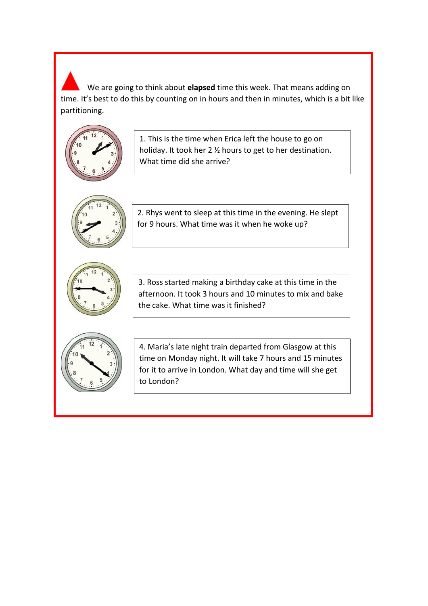We are going to think about elapsed time this week. That means adding on time. It's best to do this by counting on in hours and then in minutes, which is a bit like partitioning.

![](_page_1_Picture_1.jpeg)

1. This is the time when Erica left the house to go on holiday. It took her 2 ½ hours to get to her destination. What time did she arrive?

![](_page_1_Picture_3.jpeg)

2. Rhys went to sleep at this time in the evening. He slept for 9 hours. What time was it when he woke up?

![](_page_1_Picture_5.jpeg)

3. Ross started making a birthday cake at this time in the afternoon. It took 3 hours and 10 minutes to mix and bake the cake. What time was it finished?

![](_page_1_Picture_7.jpeg)

4. Maria's late night train departed from Glasgow at this time on Monday night. It will take 7 hours and 15 minutes for it to arrive in London. What day and time will she get to London?